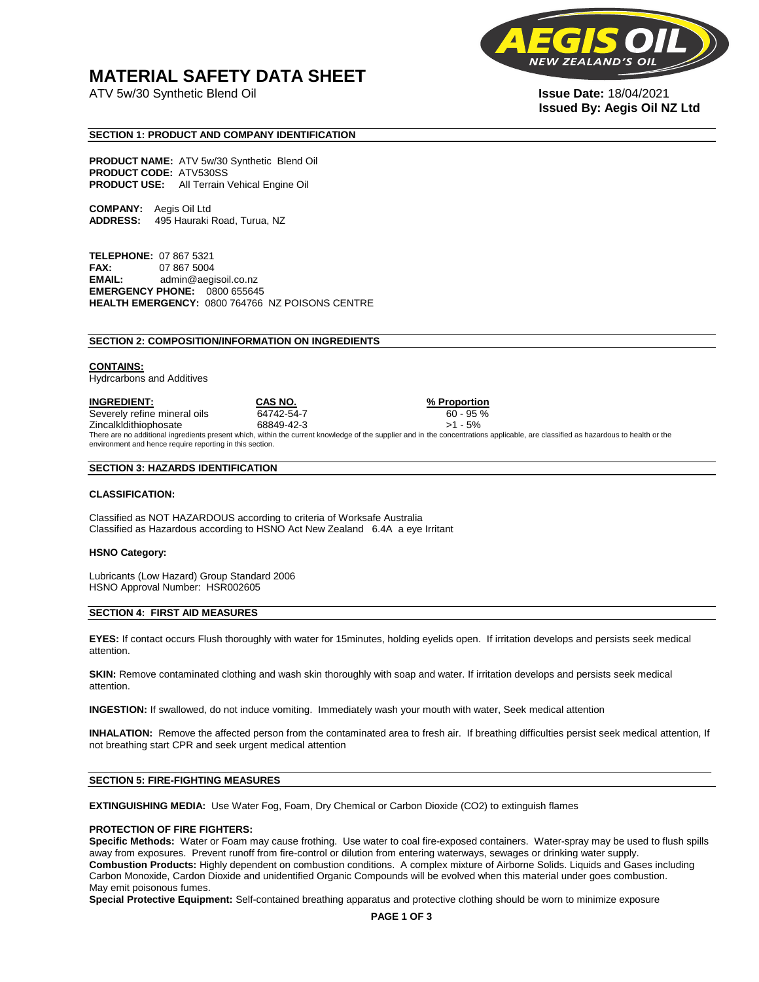## **MATERIAL SAFETY DATA SHEET**

ATV 5w/30 Synthetic Blend Oil **Issue Date:** 18/04/2021



# **Issued By: Aegis Oil NZ Ltd**

#### **SECTION 1: PRODUCT AND COMPANY IDENTIFICATION**

**PRODUCT NAME:** ATV 5w/30 Synthetic Blend Oil **PRODUCT CODE:** ATV530SS **PRODUCT USE:** All Terrain Vehical Engine Oil

**COMPANY:** Aegis Oil Ltd **ADDRESS:** 495 Hauraki Road, Turua, NZ

**TELEPHONE:** 07 867 5321 **FAX:** 07 867 5004 **EMAIL:** admin@aegisoil.co.nz **EMERGENCY PHONE:** 0800 655645 **HEALTH EMERGENCY:** 0800 764766 NZ POISONS CENTRE

#### **SECTION 2: COMPOSITION/INFORMATION ON INGREDIENTS**

#### **CONTAINS:**

Hydrcarbons and Additives

**INGREDIENT: CAS NO. % Proportion**  Severely refine mineral oils 64742-54-7 60 - 95 % Zincalkldithiophosate 68849-42-3 >1 - 5% There are no additional ingredients present which, within the current knowledge of the supplier and in the concentrations applicable, are classified as hazardous to health or the environment and hence require reporting in this section.

#### **SECTION 3: HAZARDS IDENTIFICATION**

#### **CLASSIFICATION:**

Classified as NOT HAZARDOUS according to criteria of Worksafe Australia Classified as Hazardous according to HSNO Act New Zealand 6.4A a eye Irritant

#### **HSNO Category:**

Lubricants (Low Hazard) Group Standard 2006 HSNO Approval Number: HSR002605

#### **SECTION 4: FIRST AID MEASURES**

**EYES:** If contact occurs Flush thoroughly with water for 15minutes, holding eyelids open. If irritation develops and persists seek medical attention.

**SKIN:** Remove contaminated clothing and wash skin thoroughly with soap and water. If irritation develops and persists seek medical attention.

**INGESTION:** If swallowed, do not induce vomiting. Immediately wash your mouth with water, Seek medical attention

**INHALATION:** Remove the affected person from the contaminated area to fresh air. If breathing difficulties persist seek medical attention, If not breathing start CPR and seek urgent medical attention

#### **SECTION 5: FIRE-FIGHTING MEASURES**

**EXTINGUISHING MEDIA:** Use Water Fog, Foam, Dry Chemical or Carbon Dioxide (CO2) to extinguish flames

#### **PROTECTION OF FIRE FIGHTERS:**

**Specific Methods:** Water or Foam may cause frothing. Use water to coal fire-exposed containers. Water-spray may be used to flush spills away from exposures. Prevent runoff from fire-control or dilution from entering waterways, sewages or drinking water supply. **Combustion Products:** Highly dependent on combustion conditions. A complex mixture of Airborne Solids. Liquids and Gases including Carbon Monoxide, Cardon Dioxide and unidentified Organic Compounds will be evolved when this material under goes combustion. May emit poisonous fumes.

**Special Protective Equipment:** Self-contained breathing apparatus and protective clothing should be worn to minimize exposure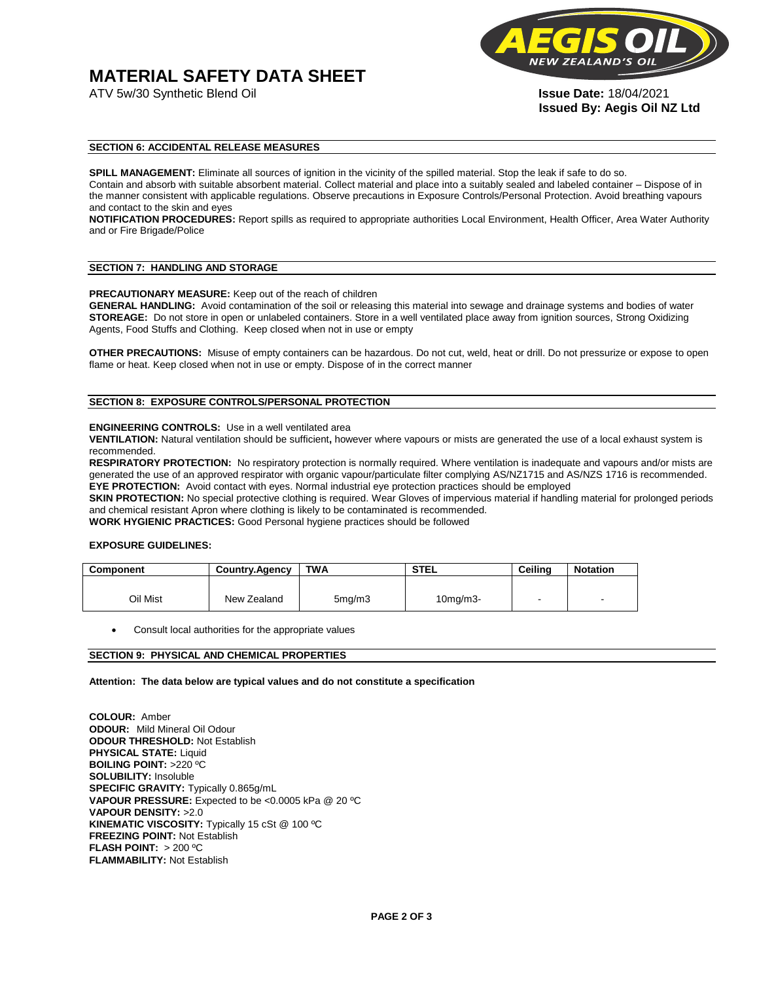# **MATERIAL SAFETY DATA SHEET**



**Issued By: Aegis Oil NZ Ltd** 

#### **SECTION 6: ACCIDENTAL RELEASE MEASURES**

**SPILL MANAGEMENT:** Eliminate all sources of ignition in the vicinity of the spilled material. Stop the leak if safe to do so. Contain and absorb with suitable absorbent material. Collect material and place into a suitably sealed and labeled container – Dispose of in the manner consistent with applicable regulations. Observe precautions in Exposure Controls/Personal Protection. Avoid breathing vapours and contact to the skin and eyes

**NOTIFICATION PROCEDURES:** Report spills as required to appropriate authorities Local Environment, Health Officer, Area Water Authority and or Fire Brigade/Police

#### **SECTION 7: HANDLING AND STORAGE**

**PRECAUTIONARY MEASURE:** Keep out of the reach of children

**GENERAL HANDLING:** Avoid contamination of the soil or releasing this material into sewage and drainage systems and bodies of water **STOREAGE:** Do not store in open or unlabeled containers. Store in a well ventilated place away from ignition sources, Strong Oxidizing Agents, Food Stuffs and Clothing. Keep closed when not in use or empty

**OTHER PRECAUTIONS:** Misuse of empty containers can be hazardous. Do not cut, weld, heat or drill. Do not pressurize or expose to open flame or heat. Keep closed when not in use or empty. Dispose of in the correct manner

### **SECTION 8: EXPOSURE CONTROLS/PERSONAL PROTECTION**

#### **ENGINEERING CONTROLS:** Use in a well ventilated area

**VENTILATION:** Natural ventilation should be sufficient**,** however where vapours or mists are generated the use of a local exhaust system is recommended.

**RESPIRATORY PROTECTION:** No respiratory protection is normally required. Where ventilation is inadequate and vapours and/or mists are generated the use of an approved respirator with organic vapour/particulate filter complying AS/NZ1715 and AS/NZS 1716 is recommended. **EYE PROTECTION:** Avoid contact with eyes. Normal industrial eye protection practices should be employed

**SKIN PROTECTION:** No special protective clothing is required. Wear Gloves of impervious material if handling material for prolonged periods and chemical resistant Apron where clothing is likely to be contaminated is recommended.

**WORK HYGIENIC PRACTICES:** Good Personal hygiene practices should be followed

#### **EXPOSURE GUIDELINES:**

| <b>Component</b> | <b>Country.Agency</b> | <b>TWA</b>          | <b>STEL</b>    | Ceilina | <b>Notation</b>          |
|------------------|-----------------------|---------------------|----------------|---------|--------------------------|
|                  |                       |                     |                |         |                          |
| Oil Mist         | New Zealand           | 5 <sub>mq</sub> /m3 | $10$ mg/m $3-$ |         | $\overline{\phantom{a}}$ |

Consult local authorities for the appropriate values

#### **SECTION 9: PHYSICAL AND CHEMICAL PROPERTIES**

**Attention: The data below are typical values and do not constitute a specification** 

**COLOUR:** Amber **ODOUR:** Mild Mineral Oil Odour **ODOUR THRESHOLD:** Not Establish **PHYSICAL STATE:** Liquid **BOILING POINT:** >220 ºC **SOLUBILITY:** Insoluble **SPECIFIC GRAVITY:** Typically 0.865g/mL **VAPOUR PRESSURE:** Expected to be <0.0005 kPa @ 20 ºC **VAPOUR DENSITY:** >2.0 **KINEMATIC VISCOSITY:** Typically 15 cSt @ 100 ºC **FREEZING POINT: Not Establish FLASH POINT:** > 200 ºC **FLAMMABILITY:** Not Establish